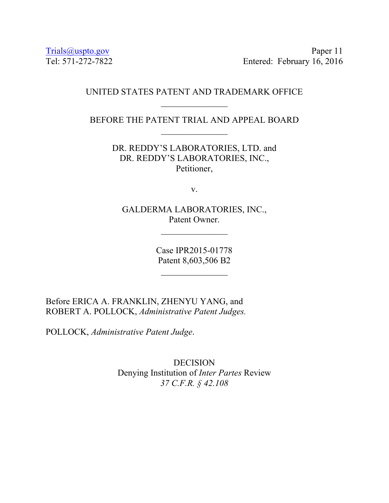Trials@uspto.gov Paper 11 Tel: 571-272-7822 Entered: February 16, 2016

### UNITED STATES PATENT AND TRADEMARK OFFICE

BEFORE THE PATENT TRIAL AND APPEAL BOARD  $\frac{1}{2}$ 

> DR. REDDY'S LABORATORIES, LTD. and DR. REDDY'S LABORATORIES, INC., Petitioner,

> > v.

GALDERMA LABORATORIES, INC., Patent Owner.

> Case IPR2015-01778 Patent 8,603,506 B2

 $\frac{1}{2}$ 

Before ERICA A. FRANKLIN, ZHENYU YANG, and ROBERT A. POLLOCK, *Administrative Patent Judges.* 

POLLOCK, *Administrative Patent Judge*.

DECISION Denying Institution of *Inter Partes* Review *37 C.F.R. § 42.108*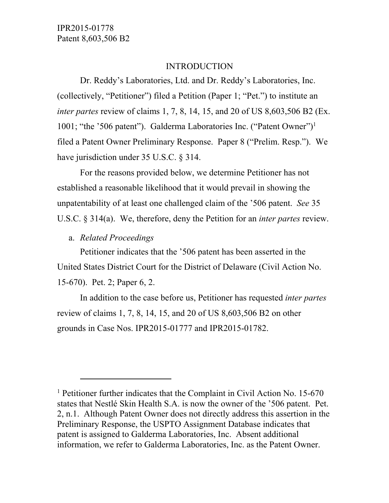#### INTRODUCTION

Dr. Reddy's Laboratories, Ltd. and Dr. Reddy's Laboratories, Inc. (collectively, "Petitioner") filed a Petition (Paper 1; "Pet.") to institute an *inter partes* review of claims 1, 7, 8, 14, 15, and 20 of US 8,603,506 B2 (Ex. 1001; "the '506 patent"). Galderma Laboratories Inc. ("Patent Owner")1 filed a Patent Owner Preliminary Response. Paper 8 ("Prelim. Resp."). We have jurisdiction under 35 U.S.C. § 314.

For the reasons provided below, we determine Petitioner has not established a reasonable likelihood that it would prevail in showing the unpatentability of at least one challenged claim of the '506 patent. *See* 35 U.S.C. § 314(a). We, therefore, deny the Petition for an *inter partes* review.

a. *Related Proceedings* 

 $\overline{a}$ 

Petitioner indicates that the '506 patent has been asserted in the United States District Court for the District of Delaware (Civil Action No. 15-670). Pet. 2; Paper 6, 2.

In addition to the case before us, Petitioner has requested *inter partes* review of claims 1, 7, 8, 14, 15, and 20 of US 8,603,506 B2 on other grounds in Case Nos. IPR2015-01777 and IPR2015-01782.

<sup>&</sup>lt;sup>1</sup> Petitioner further indicates that the Complaint in Civil Action No. 15-670 states that Nestlé Skin Health S.A. is now the owner of the '506 patent. Pet. 2, n.1. Although Patent Owner does not directly address this assertion in the Preliminary Response, the USPTO Assignment Database indicates that patent is assigned to Galderma Laboratories, Inc. Absent additional information, we refer to Galderma Laboratories, Inc. as the Patent Owner.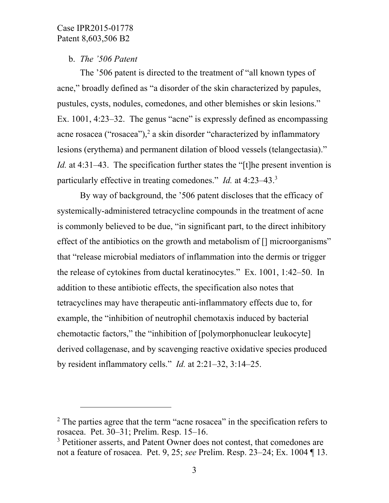-

# b. *The '506 Patent*

The '506 patent is directed to the treatment of "all known types of acne," broadly defined as "a disorder of the skin characterized by papules, pustules, cysts, nodules, comedones, and other blemishes or skin lesions." Ex. 1001, 4:23–32. The genus "acne" is expressly defined as encompassing acne rosacea ("rosacea"), $^2$  a skin disorder "characterized by inflammatory lesions (erythema) and permanent dilation of blood vessels (telangectasia)." *Id.* at 4:31–43. The specification further states the "[t]he present invention is particularly effective in treating comedones." *Id.* at 4:23–43.3

By way of background, the '506 patent discloses that the efficacy of systemically-administered tetracycline compounds in the treatment of acne is commonly believed to be due, "in significant part, to the direct inhibitory effect of the antibiotics on the growth and metabolism of  $\Box$  microorganisms" that "release microbial mediators of inflammation into the dermis or trigger the release of cytokines from ductal keratinocytes." Ex. 1001, 1:42–50. In addition to these antibiotic effects, the specification also notes that tetracyclines may have therapeutic anti-inflammatory effects due to, for example, the "inhibition of neutrophil chemotaxis induced by bacterial chemotactic factors," the "inhibition of [polymorphonuclear leukocyte] derived collagenase, and by scavenging reactive oxidative species produced by resident inflammatory cells." *Id.* at 2:21–32, 3:14–25.

 $2$  The parties agree that the term "acne rosacea" in the specification refers to rosacea. Pet. 30–31; Prelim. Resp. 15–16.

<sup>&</sup>lt;sup>3</sup> Petitioner asserts, and Patent Owner does not contest, that comedones are not a feature of rosacea. Pet. 9, 25; *see* Prelim. Resp. 23–24; Ex. 1004 ¶ 13.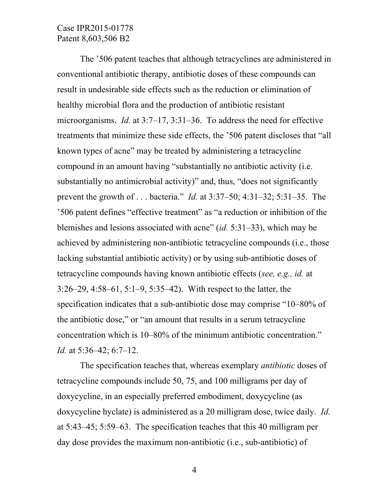The '506 patent teaches that although tetracyclines are administered in conventional antibiotic therapy, antibiotic doses of these compounds can result in undesirable side effects such as the reduction or elimination of healthy microbial flora and the production of antibiotic resistant microorganisms. *Id.* at 3:7–17, 3:31–36. To address the need for effective treatments that minimize these side effects, the '506 patent discloses that "all known types of acne" may be treated by administering a tetracycline compound in an amount having "substantially no antibiotic activity (i.e. substantially no antimicrobial activity)" and, thus, "does not significantly prevent the growth of . . . bacteria." *Id.* at 3:37–50; 4:31–32; 5:31–35. The '506 patent defines "effective treatment" as "a reduction or inhibition of the blemishes and lesions associated with acne" (*id.* 5:31–33), which may be achieved by administering non-antibiotic tetracycline compounds (i.e., those lacking substantial antibiotic activity) or by using sub-antibiotic doses of tetracycline compounds having known antibiotic effects (*see, e.g., id.* at 3:26–29, 4:58–61, 5:1–9, 5:35–42).With respect to the latter, the specification indicates that a sub-antibiotic dose may comprise "10–80% of the antibiotic dose," or "an amount that results in a serum tetracycline concentration which is 10–80% of the minimum antibiotic concentration." *Id.* at 5:36–42; 6:7–12.

The specification teaches that, whereas exemplary *antibiotic* doses of tetracycline compounds include 50, 75, and 100 milligrams per day of doxycycline, in an especially preferred embodiment, doxycycline (as doxycycline hyclate) is administered as a 20 milligram dose, twice daily. *Id.* at 5:43–45; 5:59–63. The specification teaches that this 40 milligram per day dose provides the maximum non-antibiotic (i.e., sub-antibiotic) of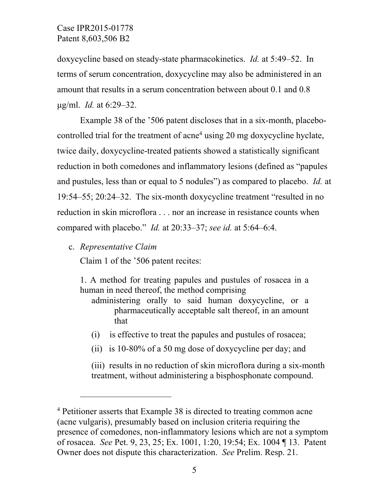doxycycline based on steady-state pharmacokinetics. *Id.* at 5:49–52. In terms of serum concentration, doxycycline may also be administered in an amount that results in a serum concentration between about 0.1 and 0.8 μg/ml. *Id.* at 6:29–32.

Example 38 of the '506 patent discloses that in a six-month, placebocontrolled trial for the treatment of acne<sup>4</sup> using 20 mg doxycycline hyclate, twice daily, doxycycline-treated patients showed a statistically significant reduction in both comedones and inflammatory lesions (defined as "papules and pustules, less than or equal to 5 nodules") as compared to placebo. *Id.* at 19:54–55; 20:24–32. The six-month doxycycline treatment "resulted in no reduction in skin microflora . . . nor an increase in resistance counts when compared with placebo." *Id.* at 20:33–37; *see id.* at 5:64–6:4.

c. *Representative Claim* 

-

Claim 1 of the '506 patent recites:

1. A method for treating papules and pustules of rosacea in a human in need thereof, the method comprising

administering orally to said human doxycycline, or a pharmaceutically acceptable salt thereof, in an amount that

- (i) is effective to treat the papules and pustules of rosacea;
- (ii) is 10-80% of a 50 mg dose of doxycycline per day; and

(iii) results in no reduction of skin microflora during a six-month treatment, without administering a bisphosphonate compound.

<sup>&</sup>lt;sup>4</sup> Petitioner asserts that Example 38 is directed to treating common acne (acne vulgaris), presumably based on inclusion criteria requiring the presence of comedones, non-inflammatory lesions which are not a symptom of rosacea. *See* Pet. 9, 23, 25; Ex. 1001, 1:20, 19:54; Ex. 1004 ¶ 13. Patent Owner does not dispute this characterization. *See* Prelim. Resp. 21.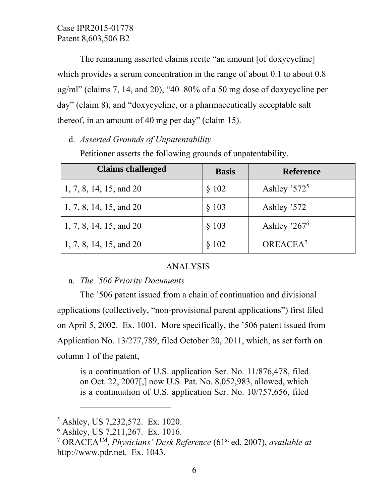The remaining asserted claims recite "an amount [of doxycycline] which provides a serum concentration in the range of about 0.1 to about 0.8 μg/ml" (claims 7, 14, and 20), "40–80% of a 50 mg dose of doxycycline per day" (claim 8), and "doxycycline, or a pharmaceutically acceptable salt thereof, in an amount of 40 mg per day" (claim 15).

d. *Asserted Grounds of Unpatentability* 

| <b>Claims challenged</b> | <b>Basis</b> | <b>Reference</b>     |
|--------------------------|--------------|----------------------|
| 1, 7, 8, 14, 15, and 20  | \$102        | Ashley $372^5$       |
| 1, 7, 8, 14, 15, and 20  | § 103        | Ashley '572          |
| 1, 7, 8, 14, 15, and 20  | § 103        | Ashley $267^6$       |
| 1, 7, 8, 14, 15, and 20  | § 102        | OREACEA <sup>7</sup> |

Petitioner asserts the following grounds of unpatentability.

# ANALYSIS

# a. *The '506 Priority Documents*

The '506 patent issued from a chain of continuation and divisional applications (collectively, "non-provisional parent applications") first filed on April 5, 2002. Ex. 1001. More specifically, the '506 patent issued from Application No. 13/277,789, filed October 20, 2011, which, as set forth on column 1 of the patent,

is a continuation of U.S. application Ser. No. 11/876,478, filed on Oct. 22, 2007[,] now U.S. Pat. No. 8,052,983, allowed, which is a continuation of U.S. application Ser. No. 10/757,656, filed

 $\overline{a}$ 

<sup>5</sup> Ashley, US 7,232,572. Ex. 1020.

<sup>6</sup> Ashley, US 7,211,267. Ex. 1016.

<sup>7</sup> ORACEATM, *Physicians' Desk Reference* (61st ed. 2007), *available at* http://www.pdr.net. Ex. 1043.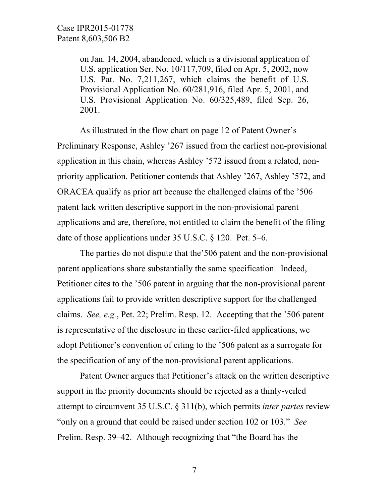on Jan. 14, 2004, abandoned, which is a divisional application of U.S. application Ser. No. 10/117,709, filed on Apr. 5, 2002, now U.S. Pat. No. 7,211,267, which claims the benefit of U.S. Provisional Application No. 60/281,916, filed Apr. 5, 2001, and U.S. Provisional Application No. 60/325,489, filed Sep. 26, 2001.

As illustrated in the flow chart on page 12 of Patent Owner's Preliminary Response, Ashley '267 issued from the earliest non-provisional application in this chain, whereas Ashley '572 issued from a related, nonpriority application. Petitioner contends that Ashley '267, Ashley '572, and ORACEA qualify as prior art because the challenged claims of the '506 patent lack written descriptive support in the non-provisional parent applications and are, therefore, not entitled to claim the benefit of the filing date of those applications under 35 U.S.C. § 120. Pet. 5–6.

The parties do not dispute that the'506 patent and the non-provisional parent applications share substantially the same specification. Indeed, Petitioner cites to the '506 patent in arguing that the non-provisional parent applications fail to provide written descriptive support for the challenged claims. *See, e.g.*, Pet. 22; Prelim. Resp. 12. Accepting that the '506 patent is representative of the disclosure in these earlier-filed applications, we adopt Petitioner's convention of citing to the '506 patent as a surrogate for the specification of any of the non-provisional parent applications.

Patent Owner argues that Petitioner's attack on the written descriptive support in the priority documents should be rejected as a thinly-veiled attempt to circumvent 35 U.S.C. § 311(b), which permits *inter partes* review "only on a ground that could be raised under section 102 or 103." *See* Prelim. Resp. 39–42. Although recognizing that "the Board has the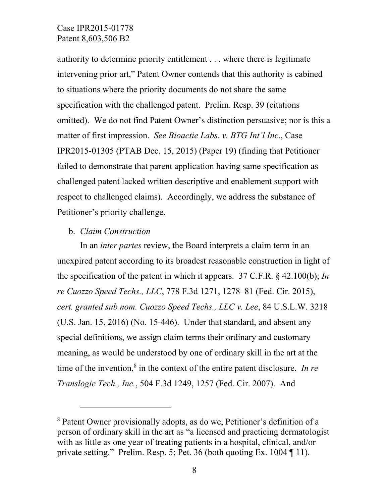authority to determine priority entitlement . . . where there is legitimate intervening prior art," Patent Owner contends that this authority is cabined to situations where the priority documents do not share the same specification with the challenged patent. Prelim. Resp. 39 (citations omitted). We do not find Patent Owner's distinction persuasive; nor is this a matter of first impression. *See Bioactie Labs. v. BTG Int'l Inc*., Case IPR2015-01305 (PTAB Dec. 15, 2015) (Paper 19) (finding that Petitioner failed to demonstrate that parent application having same specification as challenged patent lacked written descriptive and enablement support with respect to challenged claims). Accordingly, we address the substance of Petitioner's priority challenge.

### b. *Claim Construction*

 $\overline{a}$ 

In an *inter partes* review, the Board interprets a claim term in an unexpired patent according to its broadest reasonable construction in light of the specification of the patent in which it appears. 37 C.F.R. § 42.100(b); *In re Cuozzo Speed Techs., LLC*, 778 F.3d 1271, 1278–81 (Fed. Cir. 2015), *cert. granted sub nom. Cuozzo Speed Techs., LLC v. Lee*, 84 U.S.L.W. 3218 (U.S. Jan. 15, 2016) (No. 15-446). Under that standard, and absent any special definitions, we assign claim terms their ordinary and customary meaning, as would be understood by one of ordinary skill in the art at the time of the invention,<sup>8</sup> in the context of the entire patent disclosure. *In re Translogic Tech., Inc.*, 504 F.3d 1249, 1257 (Fed. Cir. 2007). And

<sup>8</sup> Patent Owner provisionally adopts, as do we, Petitioner's definition of a person of ordinary skill in the art as "a licensed and practicing dermatologist with as little as one year of treating patients in a hospital, clinical, and/or private setting." Prelim. Resp. 5; Pet. 36 (both quoting Ex. 1004 ¶ 11).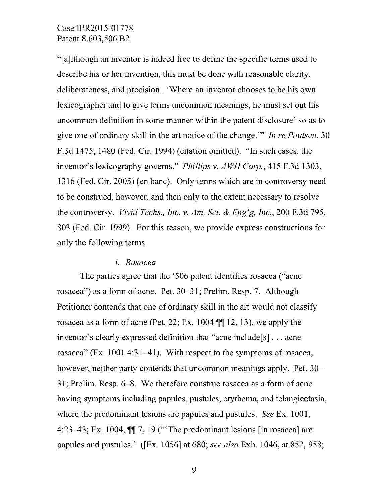"[a]lthough an inventor is indeed free to define the specific terms used to describe his or her invention, this must be done with reasonable clarity, deliberateness, and precision. 'Where an inventor chooses to be his own lexicographer and to give terms uncommon meanings, he must set out his uncommon definition in some manner within the patent disclosure' so as to give one of ordinary skill in the art notice of the change.'" *In re Paulsen*, 30 F.3d 1475, 1480 (Fed. Cir. 1994) (citation omitted). "In such cases, the inventor's lexicography governs." *Phillips v. AWH Corp.*, 415 F.3d 1303, 1316 (Fed. Cir. 2005) (en banc). Only terms which are in controversy need to be construed, however, and then only to the extent necessary to resolve the controversy. *Vivid Techs., Inc. v. Am. Sci. & Eng'g, Inc.*, 200 F.3d 795, 803 (Fed. Cir. 1999). For this reason, we provide express constructions for only the following terms.

#### *i. Rosacea*

The parties agree that the '506 patent identifies rosacea ("acne rosacea") as a form of acne. Pet. 30–31; Prelim. Resp. 7. Although Petitioner contends that one of ordinary skill in the art would not classify rosacea as a form of acne (Pet. 22; Ex. 1004 ¶¶ 12, 13), we apply the inventor's clearly expressed definition that "acne include[s] . . . acne rosacea" (Ex. 1001 4:31–41). With respect to the symptoms of rosacea, however, neither party contends that uncommon meanings apply. Pet. 30– 31; Prelim. Resp. 6–8. We therefore construe rosacea as a form of acne having symptoms including papules, pustules, erythema, and telangiectasia, where the predominant lesions are papules and pustules. *See* Ex. 1001, 4:23–43; Ex. 1004, ¶¶ 7, 19 ("'The predominant lesions [in rosacea] are papules and pustules.' ([Ex. 1056] at 680; *see also* Exh. 1046, at 852, 958;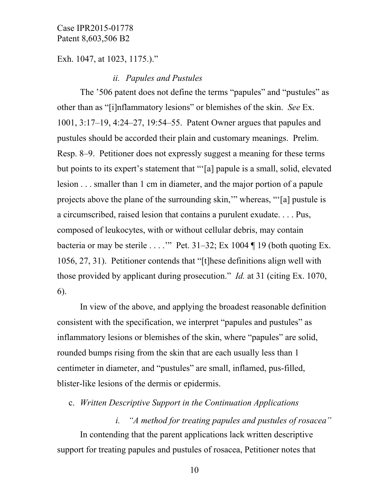Exh. 1047, at 1023, 1175.)."

### *ii. Papules and Pustules*

The '506 patent does not define the terms "papules" and "pustules" as other than as "[i]nflammatory lesions" or blemishes of the skin. *See* Ex. 1001, 3:17–19, 4:24–27, 19:54–55. Patent Owner argues that papules and pustules should be accorded their plain and customary meanings. Prelim. Resp. 8–9. Petitioner does not expressly suggest a meaning for these terms but points to its expert's statement that "'[a] papule is a small, solid, elevated lesion . . . smaller than 1 cm in diameter, and the major portion of a papule projects above the plane of the surrounding skin,'" whereas, "'[a] pustule is a circumscribed, raised lesion that contains a purulent exudate. . . . Pus, composed of leukocytes, with or without cellular debris, may contain bacteria or may be sterile . . . .'" Pet. 31–32; Ex 1004 ¶ 19 (both quoting Ex. 1056, 27, 31). Petitioner contends that "[t]hese definitions align well with those provided by applicant during prosecution." *Id.* at 31 (citing Ex. 1070, 6).

In view of the above, and applying the broadest reasonable definition consistent with the specification, we interpret "papules and pustules" as inflammatory lesions or blemishes of the skin, where "papules" are solid, rounded bumps rising from the skin that are each usually less than 1 centimeter in diameter, and "pustules" are small, inflamed, pus-filled, blister-like lesions of the dermis or epidermis.

c. *Written Descriptive Support in the Continuation Applications*

*i. "A method for treating papules and pustules of rosacea"*  In contending that the parent applications lack written descriptive support for treating papules and pustules of rosacea, Petitioner notes that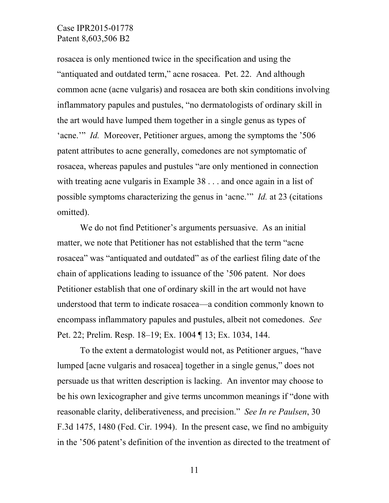rosacea is only mentioned twice in the specification and using the "antiquated and outdated term," acne rosacea. Pet. 22. And although common acne (acne vulgaris) and rosacea are both skin conditions involving inflammatory papules and pustules, "no dermatologists of ordinary skill in the art would have lumped them together in a single genus as types of 'acne.'" *Id.* Moreover, Petitioner argues, among the symptoms the '506 patent attributes to acne generally, comedones are not symptomatic of rosacea, whereas papules and pustules "are only mentioned in connection with treating acne vulgaris in Example 38 . . . and once again in a list of possible symptoms characterizing the genus in 'acne.'" *Id.* at 23 (citations omitted).

We do not find Petitioner's arguments persuasive. As an initial matter, we note that Petitioner has not established that the term "acne rosacea" was "antiquated and outdated" as of the earliest filing date of the chain of applications leading to issuance of the '506 patent. Nor does Petitioner establish that one of ordinary skill in the art would not have understood that term to indicate rosacea—a condition commonly known to encompass inflammatory papules and pustules, albeit not comedones. *See* Pet. 22; Prelim. Resp. 18–19; Ex. 1004 ¶ 13; Ex. 1034, 144.

To the extent a dermatologist would not, as Petitioner argues, "have lumped [acne vulgaris and rosacea] together in a single genus," does not persuade us that written description is lacking. An inventor may choose to be his own lexicographer and give terms uncommon meanings if "done with reasonable clarity, deliberativeness, and precision." *See In re Paulsen*, 30 F.3d 1475, 1480 (Fed. Cir. 1994). In the present case, we find no ambiguity in the '506 patent's definition of the invention as directed to the treatment of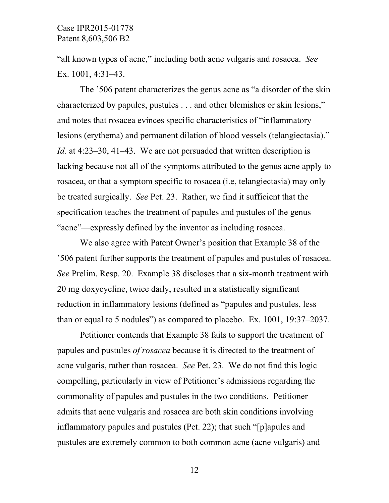"all known types of acne," including both acne vulgaris and rosacea. *See* Ex. 1001, 4:31–43.

The '506 patent characterizes the genus acne as "a disorder of the skin characterized by papules, pustules . . . and other blemishes or skin lesions," and notes that rosacea evinces specific characteristics of "inflammatory lesions (erythema) and permanent dilation of blood vessels (telangiectasia)." *Id.* at 4:23–30, 41–43. We are not persuaded that written description is lacking because not all of the symptoms attributed to the genus acne apply to rosacea, or that a symptom specific to rosacea (i.e, telangiectasia) may only be treated surgically. *See* Pet. 23. Rather, we find it sufficient that the specification teaches the treatment of papules and pustules of the genus "acne"—expressly defined by the inventor as including rosacea.

We also agree with Patent Owner's position that Example 38 of the '506 patent further supports the treatment of papules and pustules of rosacea. *See* Prelim. Resp. 20. Example 38 discloses that a six-month treatment with 20 mg doxycycline, twice daily, resulted in a statistically significant reduction in inflammatory lesions (defined as "papules and pustules, less than or equal to 5 nodules") as compared to placebo. Ex. 1001, 19:37–2037.

Petitioner contends that Example 38 fails to support the treatment of papules and pustules *of rosacea* because it is directed to the treatment of acne vulgaris, rather than rosacea. *See* Pet. 23. We do not find this logic compelling, particularly in view of Petitioner's admissions regarding the commonality of papules and pustules in the two conditions. Petitioner admits that acne vulgaris and rosacea are both skin conditions involving inflammatory papules and pustules (Pet. 22); that such "[p]apules and pustules are extremely common to both common acne (acne vulgaris) and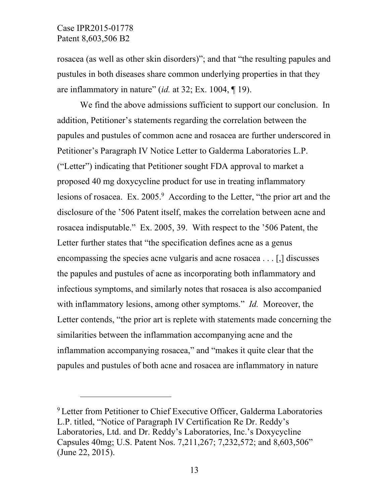-

rosacea (as well as other skin disorders)"; and that "the resulting papules and pustules in both diseases share common underlying properties in that they are inflammatory in nature" (*id.* at 32; Ex. 1004, ¶ 19).

We find the above admissions sufficient to support our conclusion. In addition, Petitioner's statements regarding the correlation between the papules and pustules of common acne and rosacea are further underscored in Petitioner's Paragraph IV Notice Letter to Galderma Laboratories L.P. ("Letter") indicating that Petitioner sought FDA approval to market a proposed 40 mg doxycycline product for use in treating inflammatory lesions of rosacea. Ex. 2005.<sup>9</sup> According to the Letter, "the prior art and the disclosure of the '506 Patent itself, makes the correlation between acne and rosacea indisputable." Ex. 2005, 39. With respect to the '506 Patent, the Letter further states that "the specification defines acne as a genus encompassing the species acne vulgaris and acne rosacea . . . [,] discusses the papules and pustules of acne as incorporating both inflammatory and infectious symptoms, and similarly notes that rosacea is also accompanied with inflammatory lesions, among other symptoms." *Id.* Moreover, the Letter contends, "the prior art is replete with statements made concerning the similarities between the inflammation accompanying acne and the inflammation accompanying rosacea," and "makes it quite clear that the papules and pustules of both acne and rosacea are inflammatory in nature

<sup>&</sup>lt;sup>9</sup> Letter from Petitioner to Chief Executive Officer, Galderma Laboratories L.P. titled, "Notice of Paragraph IV Certification Re Dr. Reddy's Laboratories, Ltd. and Dr. Reddy's Laboratories, Inc.'s Doxycycline Capsules 40mg; U.S. Patent Nos. 7,211,267; 7,232,572; and 8,603,506" (June 22, 2015).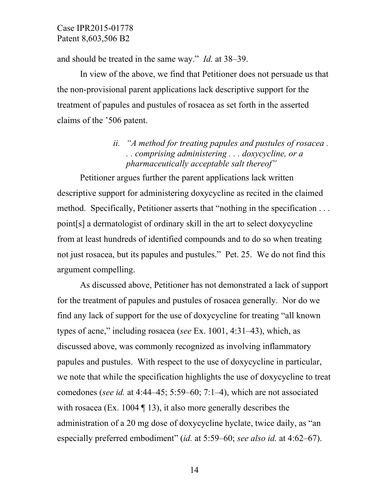and should be treated in the same way." *Id.* at 38–39.

In view of the above, we find that Petitioner does not persuade us that the non-provisional parent applications lack descriptive support for the treatment of papules and pustules of rosacea as set forth in the asserted claims of the '506 patent.

# *ii. "A method for treating papules and pustules of rosacea . . . comprising administering . . . doxycycline, or a pharmaceutically acceptable salt thereof"*

Petitioner argues further the parent applications lack written descriptive support for administering doxycycline as recited in the claimed method. Specifically, Petitioner asserts that "nothing in the specification . . . point[s] a dermatologist of ordinary skill in the art to select doxycycline from at least hundreds of identified compounds and to do so when treating not just rosacea, but its papules and pustules." Pet. 25. We do not find this argument compelling.

As discussed above, Petitioner has not demonstrated a lack of support for the treatment of papules and pustules of rosacea generally. Nor do we find any lack of support for the use of doxycycline for treating "all known types of acne," including rosacea (*see* Ex. 1001, 4:31–43), which, as discussed above, was commonly recognized as involving inflammatory papules and pustules. With respect to the use of doxycycline in particular, we note that while the specification highlights the use of doxycycline to treat comedones (*see id.* at 4:44–45; 5:59–60; 7:1–4), which are not associated with rosacea (Ex. 1004 ¶ 13), it also more generally describes the administration of a 20 mg dose of doxycycline hyclate, twice daily, as "an especially preferred embodiment" (*id.* at 5:59–60; *see also id.* at 4:62–67).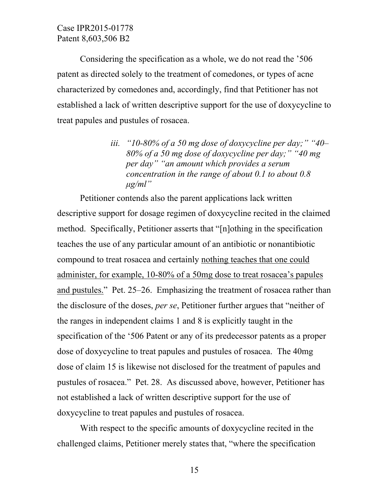Considering the specification as a whole, we do not read the '506 patent as directed solely to the treatment of comedones, or types of acne characterized by comedones and, accordingly, find that Petitioner has not established a lack of written descriptive support for the use of doxycycline to treat papules and pustules of rosacea.

> *iii. "10-80% of a 50 mg dose of doxycycline per day;" "40– 80% of a 50 mg dose of doxycycline per day;" "40 mg per day" "an amount which provides a serum concentration in the range of about 0.1 to about 0.8 μg/ml"*

Petitioner contends also the parent applications lack written descriptive support for dosage regimen of doxycycline recited in the claimed method. Specifically, Petitioner asserts that "[n]othing in the specification teaches the use of any particular amount of an antibiotic or nonantibiotic compound to treat rosacea and certainly nothing teaches that one could administer, for example, 10-80% of a 50mg dose to treat rosacea's papules and pustules." Pet. 25–26. Emphasizing the treatment of rosacea rather than the disclosure of the doses, *per se*, Petitioner further argues that "neither of the ranges in independent claims 1 and 8 is explicitly taught in the specification of the '506 Patent or any of its predecessor patents as a proper dose of doxycycline to treat papules and pustules of rosacea. The 40mg dose of claim 15 is likewise not disclosed for the treatment of papules and pustules of rosacea." Pet. 28. As discussed above, however, Petitioner has not established a lack of written descriptive support for the use of doxycycline to treat papules and pustules of rosacea.

With respect to the specific amounts of doxycycline recited in the challenged claims, Petitioner merely states that, "where the specification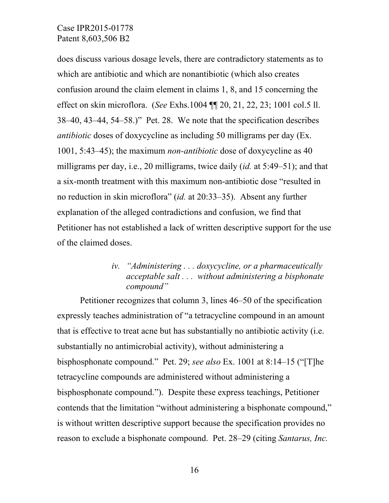does discuss various dosage levels, there are contradictory statements as to which are antibiotic and which are nonantibiotic (which also creates confusion around the claim element in claims 1, 8, and 15 concerning the effect on skin microflora. (*See* Exhs.1004 ¶¶ 20, 21, 22, 23; 1001 col.5 ll. 38–40, 43–44, 54–58.)" Pet. 28. We note that the specification describes *antibiotic* doses of doxycycline as including 50 milligrams per day (Ex. 1001, 5:43–45); the maximum *non-antibiotic* dose of doxycycline as 40 milligrams per day, i.e., 20 milligrams, twice daily (*id.* at 5:49–51); and that a six-month treatment with this maximum non-antibiotic dose "resulted in no reduction in skin microflora" (*id.* at 20:33–35). Absent any further explanation of the alleged contradictions and confusion, we find that Petitioner has not established a lack of written descriptive support for the use of the claimed doses.

# *iv. "Administering . . . doxycycline, or a pharmaceutically acceptable salt . . . without administering a bisphonate compound"*

Petitioner recognizes that column 3, lines 46–50 of the specification expressly teaches administration of "a tetracycline compound in an amount that is effective to treat acne but has substantially no antibiotic activity (i.e. substantially no antimicrobial activity), without administering a bisphosphonate compound." Pet. 29; *see also* Ex. 1001 at 8:14–15 ("[T]he tetracycline compounds are administered without administering a bisphosphonate compound."). Despite these express teachings, Petitioner contends that the limitation "without administering a bisphonate compound," is without written descriptive support because the specification provides no reason to exclude a bisphonate compound. Pet. 28–29 (citing *Santarus, Inc.*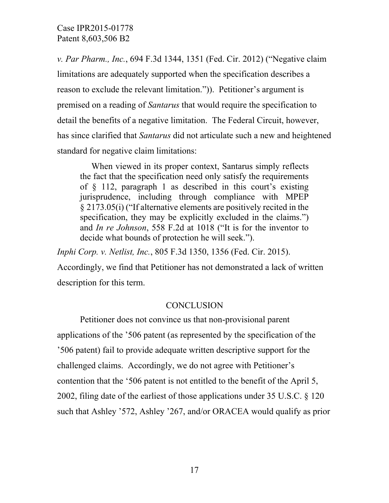*v. Par Pharm., Inc.*, 694 F.3d 1344, 1351 (Fed. Cir. 2012) ("Negative claim limitations are adequately supported when the specification describes a reason to exclude the relevant limitation.")). Petitioner's argument is premised on a reading of *Santarus* that would require the specification to detail the benefits of a negative limitation. The Federal Circuit, however, has since clarified that *Santarus* did not articulate such a new and heightened standard for negative claim limitations:

When viewed in its proper context, Santarus simply reflects the fact that the specification need only satisfy the requirements of § 112, paragraph 1 as described in this court's existing jurisprudence, including through compliance with MPEP § 2173.05(i) ("If alternative elements are positively recited in the specification, they may be explicitly excluded in the claims.") and *In re Johnson*, 558 F.2d at 1018 ("It is for the inventor to decide what bounds of protection he will seek.").

*Inphi Corp. v. Netlist, Inc.*, 805 F.3d 1350, 1356 (Fed. Cir. 2015).

Accordingly, we find that Petitioner has not demonstrated a lack of written description for this term.

# **CONCLUSION**

Petitioner does not convince us that non-provisional parent applications of the '506 patent (as represented by the specification of the '506 patent) fail to provide adequate written descriptive support for the challenged claims. Accordingly, we do not agree with Petitioner's contention that the '506 patent is not entitled to the benefit of the April 5, 2002, filing date of the earliest of those applications under 35 U.S.C. § 120 such that Ashley '572, Ashley '267, and/or ORACEA would qualify as prior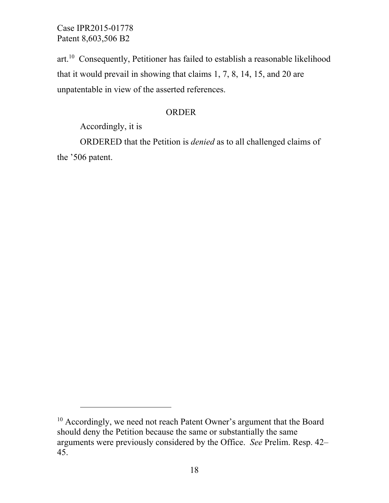art.10 Consequently, Petitioner has failed to establish a reasonable likelihood that it would prevail in showing that claims 1, 7, 8, 14, 15, and 20 are unpatentable in view of the asserted references.

### ORDER

Accordingly, it is

-

ORDERED that the Petition is *denied* as to all challenged claims of the '506 patent.

<sup>&</sup>lt;sup>10</sup> Accordingly, we need not reach Patent Owner's argument that the Board should deny the Petition because the same or substantially the same arguments were previously considered by the Office. *See* Prelim. Resp. 42– 45.